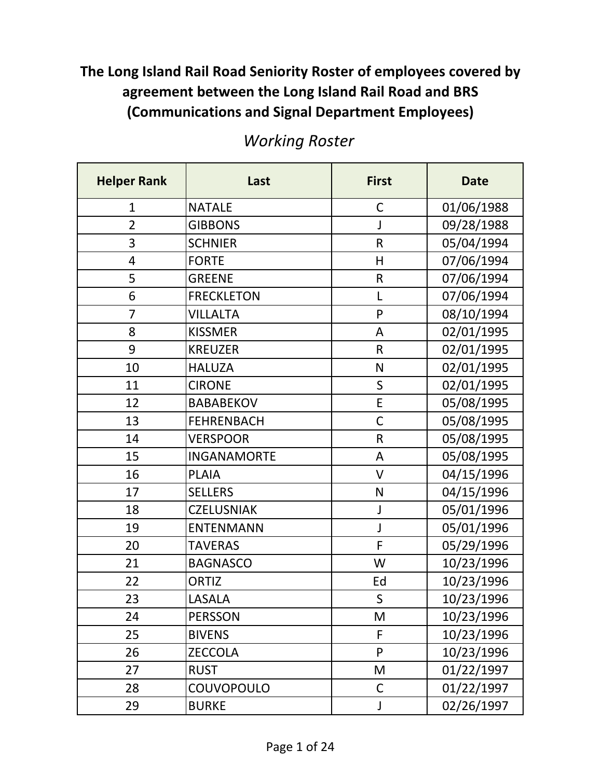| <b>Helper Rank</b> | Last               | <b>First</b> | <b>Date</b> |
|--------------------|--------------------|--------------|-------------|
| $\mathbf{1}$       | <b>NATALE</b>      | $\mathsf C$  | 01/06/1988  |
| $\overline{2}$     | <b>GIBBONS</b>     | J            | 09/28/1988  |
| 3                  | <b>SCHNIER</b>     | $\mathsf R$  | 05/04/1994  |
| 4                  | <b>FORTE</b>       | H            | 07/06/1994  |
| 5                  | <b>GREENE</b>      | $\mathsf R$  | 07/06/1994  |
| 6                  | <b>FRECKLETON</b>  | L            | 07/06/1994  |
| 7                  | <b>VILLALTA</b>    | P            | 08/10/1994  |
| 8                  | <b>KISSMER</b>     | A            | 02/01/1995  |
| 9                  | <b>KREUZER</b>     | $\mathsf R$  | 02/01/1995  |
| 10                 | <b>HALUZA</b>      | $\mathsf{N}$ | 02/01/1995  |
| 11                 | <b>CIRONE</b>      | $\mathsf{S}$ | 02/01/1995  |
| 12                 | <b>BABABEKOV</b>   | E            | 05/08/1995  |
| 13                 | <b>FEHRENBACH</b>  | $\mathsf C$  | 05/08/1995  |
| 14                 | <b>VERSPOOR</b>    | $\mathsf{R}$ | 05/08/1995  |
| 15                 | <b>INGANAMORTE</b> | A            | 05/08/1995  |
| 16                 | <b>PLAIA</b>       | $\vee$       | 04/15/1996  |
| 17                 | <b>SELLERS</b>     | $\mathsf{N}$ | 04/15/1996  |
| 18                 | <b>CZELUSNIAK</b>  | J            | 05/01/1996  |
| 19                 | <b>ENTENMANN</b>   | J            | 05/01/1996  |
| 20                 | <b>TAVERAS</b>     | $\mathsf F$  | 05/29/1996  |
| 21                 | <b>BAGNASCO</b>    | W            | 10/23/1996  |
| 22                 | <b>ORTIZ</b>       | Ed           | 10/23/1996  |
| 23                 | LASALA             | S            | 10/23/1996  |
| 24                 | <b>PERSSON</b>     | M            | 10/23/1996  |
| 25                 | <b>BIVENS</b>      | F            | 10/23/1996  |
| 26                 | <b>ZECCOLA</b>     | P            | 10/23/1996  |
| 27                 | <b>RUST</b>        | M            | 01/22/1997  |
| 28                 | COUVOPOULO         | C            | 01/22/1997  |
| 29                 | <b>BURKE</b>       | J            | 02/26/1997  |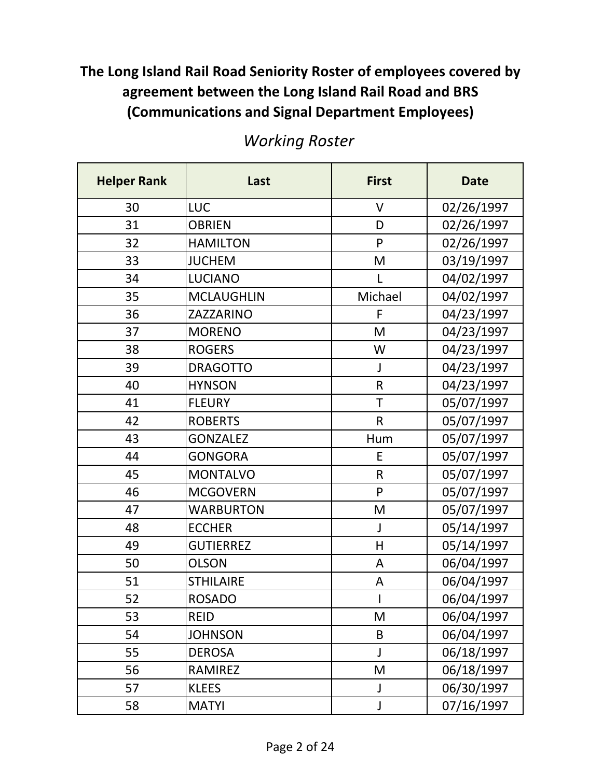| <b>Helper Rank</b> | Last              | <b>First</b> | <b>Date</b> |
|--------------------|-------------------|--------------|-------------|
| 30                 | LUC               | V            | 02/26/1997  |
| 31                 | <b>OBRIEN</b>     | D            | 02/26/1997  |
| 32                 | <b>HAMILTON</b>   | P            | 02/26/1997  |
| 33                 | <b>JUCHEM</b>     | M            | 03/19/1997  |
| 34                 | <b>LUCIANO</b>    | L            | 04/02/1997  |
| 35                 | <b>MCLAUGHLIN</b> | Michael      | 04/02/1997  |
| 36                 | ZAZZARINO         | F            | 04/23/1997  |
| 37                 | <b>MORENO</b>     | M            | 04/23/1997  |
| 38                 | <b>ROGERS</b>     | W            | 04/23/1997  |
| 39                 | <b>DRAGOTTO</b>   | J            | 04/23/1997  |
| 40                 | <b>HYNSON</b>     | $\mathsf{R}$ | 04/23/1997  |
| 41                 | <b>FLEURY</b>     | $\mathsf T$  | 05/07/1997  |
| 42                 | <b>ROBERTS</b>    | $\mathsf{R}$ | 05/07/1997  |
| 43                 | <b>GONZALEZ</b>   | Hum          | 05/07/1997  |
| 44                 | <b>GONGORA</b>    | E            | 05/07/1997  |
| 45                 | <b>MONTALVO</b>   | $\mathsf R$  | 05/07/1997  |
| 46                 | <b>MCGOVERN</b>   | P            | 05/07/1997  |
| 47                 | <b>WARBURTON</b>  | M            | 05/07/1997  |
| 48                 | <b>ECCHER</b>     | J            | 05/14/1997  |
| 49                 | <b>GUTIERREZ</b>  | H            | 05/14/1997  |
| 50                 | <b>OLSON</b>      | A            | 06/04/1997  |
| 51                 | <b>STHILAIRE</b>  | А            | 06/04/1997  |
| 52                 | <b>ROSADO</b>     | I            | 06/04/1997  |
| 53                 | <b>REID</b>       | M            | 06/04/1997  |
| 54                 | <b>JOHNSON</b>    | $\sf B$      | 06/04/1997  |
| 55                 | <b>DEROSA</b>     | J            | 06/18/1997  |
| 56                 | <b>RAMIREZ</b>    | M            | 06/18/1997  |
| 57                 | <b>KLEES</b>      | J            | 06/30/1997  |
| 58                 | <b>MATYI</b>      | J            | 07/16/1997  |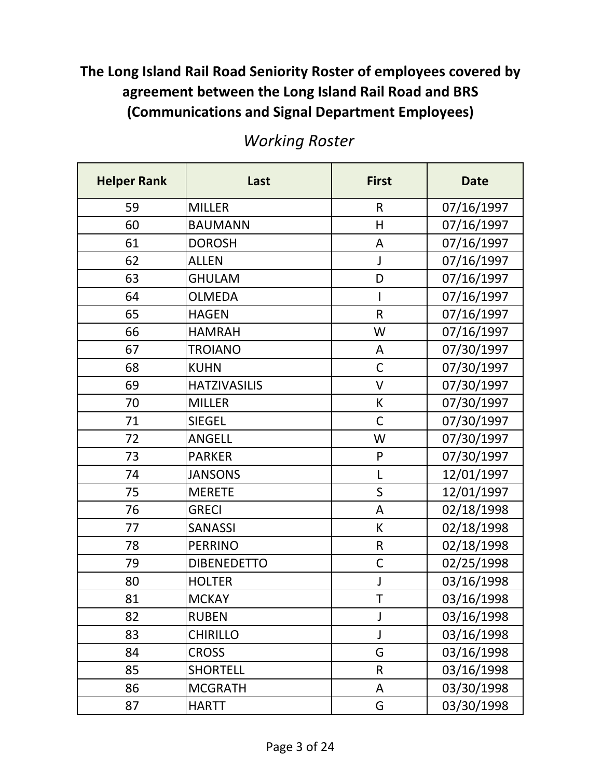| <b>Helper Rank</b> | Last                | <b>First</b> | <b>Date</b> |
|--------------------|---------------------|--------------|-------------|
| 59                 | <b>MILLER</b>       | $\mathsf{R}$ | 07/16/1997  |
| 60                 | <b>BAUMANN</b>      | н            | 07/16/1997  |
| 61                 | <b>DOROSH</b>       | A            | 07/16/1997  |
| 62                 | <b>ALLEN</b>        | J            | 07/16/1997  |
| 63                 | <b>GHULAM</b>       | D            | 07/16/1997  |
| 64                 | <b>OLMEDA</b>       | I            | 07/16/1997  |
| 65                 | <b>HAGEN</b>        | $\mathsf R$  | 07/16/1997  |
| 66                 | <b>HAMRAH</b>       | W            | 07/16/1997  |
| 67                 | <b>TROIANO</b>      | A            | 07/30/1997  |
| 68                 | <b>KUHN</b>         | $\mathsf C$  | 07/30/1997  |
| 69                 | <b>HATZIVASILIS</b> | $\vee$       | 07/30/1997  |
| 70                 | <b>MILLER</b>       | К            | 07/30/1997  |
| 71                 | <b>SIEGEL</b>       | $\mathsf C$  | 07/30/1997  |
| 72                 | <b>ANGELL</b>       | W            | 07/30/1997  |
| 73                 | <b>PARKER</b>       | P            | 07/30/1997  |
| 74                 | <b>JANSONS</b>      | L            | 12/01/1997  |
| 75                 | <b>MERETE</b>       | $\mathsf{S}$ | 12/01/1997  |
| 76                 | <b>GRECI</b>        | A            | 02/18/1998  |
| 77                 | <b>SANASSI</b>      | К            | 02/18/1998  |
| 78                 | <b>PERRINO</b>      | $\mathsf R$  | 02/18/1998  |
| 79                 | <b>DIBENEDETTO</b>  | $\mathsf C$  | 02/25/1998  |
| 80                 | <b>HOLTER</b>       | J            | 03/16/1998  |
| 81                 | <b>MCKAY</b>        | T            | 03/16/1998  |
| 82                 | <b>RUBEN</b>        | J            | 03/16/1998  |
| 83                 | <b>CHIRILLO</b>     | J            | 03/16/1998  |
| 84                 | <b>CROSS</b>        | G            | 03/16/1998  |
| 85                 | <b>SHORTELL</b>     | $\mathsf R$  | 03/16/1998  |
| 86                 | <b>MCGRATH</b>      | A            | 03/30/1998  |
| 87                 | <b>HARTT</b>        | G            | 03/30/1998  |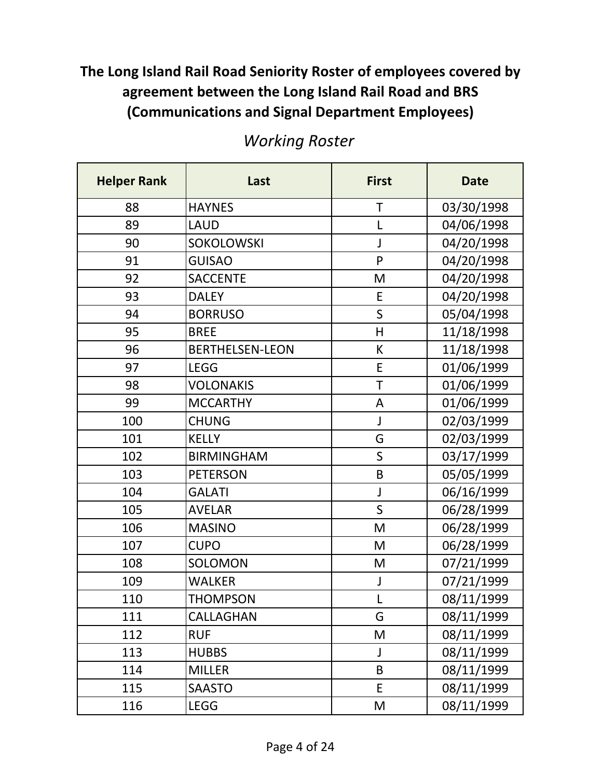| <b>Helper Rank</b> | Last                   | <b>First</b> | <b>Date</b> |
|--------------------|------------------------|--------------|-------------|
| 88                 | <b>HAYNES</b>          | T            | 03/30/1998  |
| 89                 | <b>LAUD</b>            | L            | 04/06/1998  |
| 90                 | SOKOLOWSKI             | J            | 04/20/1998  |
| 91                 | <b>GUISAO</b>          | P            | 04/20/1998  |
| 92                 | <b>SACCENTE</b>        | M            | 04/20/1998  |
| 93                 | <b>DALEY</b>           | E            | 04/20/1998  |
| 94                 | <b>BORRUSO</b>         | $\mathsf{S}$ | 05/04/1998  |
| 95                 | <b>BREE</b>            | H            | 11/18/1998  |
| 96                 | <b>BERTHELSEN-LEON</b> | K            | 11/18/1998  |
| 97                 | <b>LEGG</b>            | E            | 01/06/1999  |
| 98                 | <b>VOLONAKIS</b>       | T            | 01/06/1999  |
| 99                 | <b>MCCARTHY</b>        | A            | 01/06/1999  |
| 100                | <b>CHUNG</b>           | J            | 02/03/1999  |
| 101                | <b>KELLY</b>           | G            | 02/03/1999  |
| 102                | <b>BIRMINGHAM</b>      | S            | 03/17/1999  |
| 103                | <b>PETERSON</b>        | B            | 05/05/1999  |
| 104                | <b>GALATI</b>          | J            | 06/16/1999  |
| 105                | <b>AVELAR</b>          | S            | 06/28/1999  |
| 106                | <b>MASINO</b>          | M            | 06/28/1999  |
| 107                | <b>CUPO</b>            | M            | 06/28/1999  |
| 108                | SOLOMON                | M            | 07/21/1999  |
| 109                | <b>WALKER</b>          | J            | 07/21/1999  |
| 110                | <b>THOMPSON</b>        |              | 08/11/1999  |
| 111                | CALLAGHAN              | G            | 08/11/1999  |
| 112                | <b>RUF</b>             | M            | 08/11/1999  |
| 113                | <b>HUBBS</b>           | J            | 08/11/1999  |
| 114                | <b>MILLER</b>          | B            | 08/11/1999  |
| 115                | <b>SAASTO</b>          | E            | 08/11/1999  |
| 116                | <b>LEGG</b>            | M            | 08/11/1999  |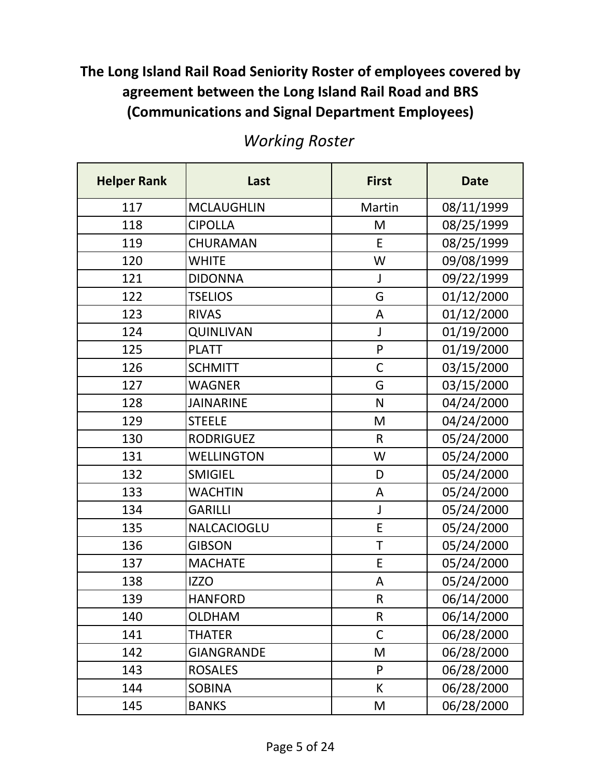| <b>Helper Rank</b> | Last              | <b>First</b> | <b>Date</b> |
|--------------------|-------------------|--------------|-------------|
| 117                | <b>MCLAUGHLIN</b> | Martin       | 08/11/1999  |
| 118                | <b>CIPOLLA</b>    | M            | 08/25/1999  |
| 119                | CHURAMAN          | E            | 08/25/1999  |
| 120                | <b>WHITE</b>      | W            | 09/08/1999  |
| 121                | <b>DIDONNA</b>    | J            | 09/22/1999  |
| 122                | <b>TSELIOS</b>    | G            | 01/12/2000  |
| 123                | <b>RIVAS</b>      | A            | 01/12/2000  |
| 124                | <b>QUINLIVAN</b>  | J            | 01/19/2000  |
| 125                | <b>PLATT</b>      | $\mathsf{P}$ | 01/19/2000  |
| 126                | <b>SCHMITT</b>    | $\mathsf C$  | 03/15/2000  |
| 127                | <b>WAGNER</b>     | G            | 03/15/2000  |
| 128                | <b>JAINARINE</b>  | N            | 04/24/2000  |
| 129                | <b>STEELE</b>     | M            | 04/24/2000  |
| 130                | <b>RODRIGUEZ</b>  | $\mathsf{R}$ | 05/24/2000  |
| 131                | <b>WELLINGTON</b> | W            | 05/24/2000  |
| 132                | <b>SMIGIEL</b>    | D            | 05/24/2000  |
| 133                | <b>WACHTIN</b>    | A            | 05/24/2000  |
| 134                | <b>GARILLI</b>    | J            | 05/24/2000  |
| 135                | NALCACIOGLU       | E            | 05/24/2000  |
| 136                | <b>GIBSON</b>     | $\mathsf T$  | 05/24/2000  |
| 137                | <b>MACHATE</b>    | E            | 05/24/2000  |
| 138                | <b>IZZO</b>       | A            | 05/24/2000  |
| 139                | <b>HANFORD</b>    | $\mathsf R$  | 06/14/2000  |
| 140                | <b>OLDHAM</b>     | $\mathsf R$  | 06/14/2000  |
| 141                | <b>THATER</b>     | $\mathsf C$  | 06/28/2000  |
| 142                | <b>GIANGRANDE</b> | M            | 06/28/2000  |
| 143                | <b>ROSALES</b>    | P            | 06/28/2000  |
| 144                | <b>SOBINA</b>     | К            | 06/28/2000  |
| 145                | <b>BANKS</b>      | M            | 06/28/2000  |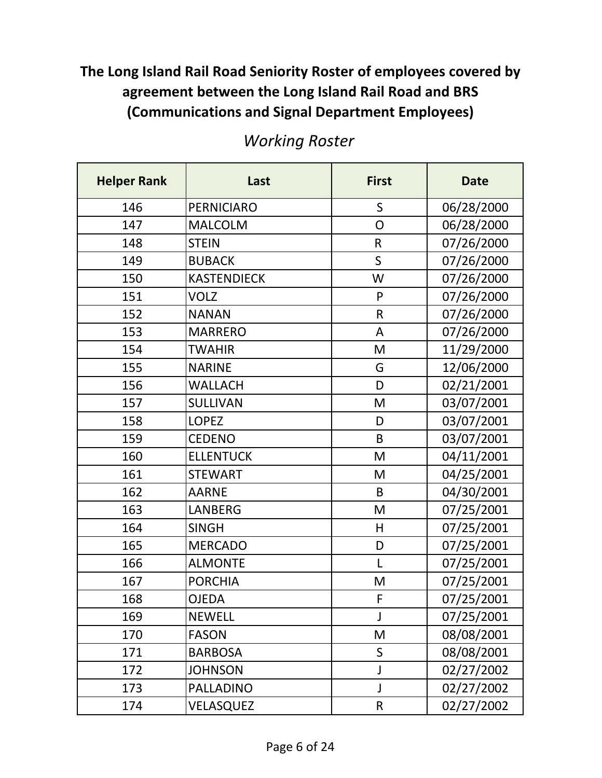| <b>Helper Rank</b> | Last               | <b>First</b> | <b>Date</b> |
|--------------------|--------------------|--------------|-------------|
| 146                | <b>PERNICIARO</b>  | S            | 06/28/2000  |
| 147                | <b>MALCOLM</b>     | O            | 06/28/2000  |
| 148                | <b>STEIN</b>       | $\mathsf R$  | 07/26/2000  |
| 149                | <b>BUBACK</b>      | $\mathsf S$  | 07/26/2000  |
| 150                | <b>KASTENDIECK</b> | W            | 07/26/2000  |
| 151                | <b>VOLZ</b>        | P            | 07/26/2000  |
| 152                | <b>NANAN</b>       | $\mathsf R$  | 07/26/2000  |
| 153                | <b>MARRERO</b>     | A            | 07/26/2000  |
| 154                | <b>TWAHIR</b>      | M            | 11/29/2000  |
| 155                | <b>NARINE</b>      | G            | 12/06/2000  |
| 156                | <b>WALLACH</b>     | D            | 02/21/2001  |
| 157                | <b>SULLIVAN</b>    | M            | 03/07/2001  |
| 158                | <b>LOPEZ</b>       | D            | 03/07/2001  |
| 159                | <b>CEDENO</b>      | B            | 03/07/2001  |
| 160                | <b>ELLENTUCK</b>   | M            | 04/11/2001  |
| 161                | <b>STEWART</b>     | M            | 04/25/2001  |
| 162                | <b>AARNE</b>       | B            | 04/30/2001  |
| 163                | <b>LANBERG</b>     | M            | 07/25/2001  |
| 164                | <b>SINGH</b>       | H            | 07/25/2001  |
| 165                | <b>MERCADO</b>     | D            | 07/25/2001  |
| 166                | <b>ALMONTE</b>     | L            | 07/25/2001  |
| 167                | <b>PORCHIA</b>     | M            | 07/25/2001  |
| 168                | <b>OJEDA</b>       | $\mathsf F$  | 07/25/2001  |
| 169                | <b>NEWELL</b>      | J            | 07/25/2001  |
| 170                | <b>FASON</b>       | M            | 08/08/2001  |
| 171                | <b>BARBOSA</b>     | S            | 08/08/2001  |
| 172                | <b>JOHNSON</b>     | J            | 02/27/2002  |
| 173                | PALLADINO          | J            | 02/27/2002  |
| 174                | VELASQUEZ          | ${\sf R}$    | 02/27/2002  |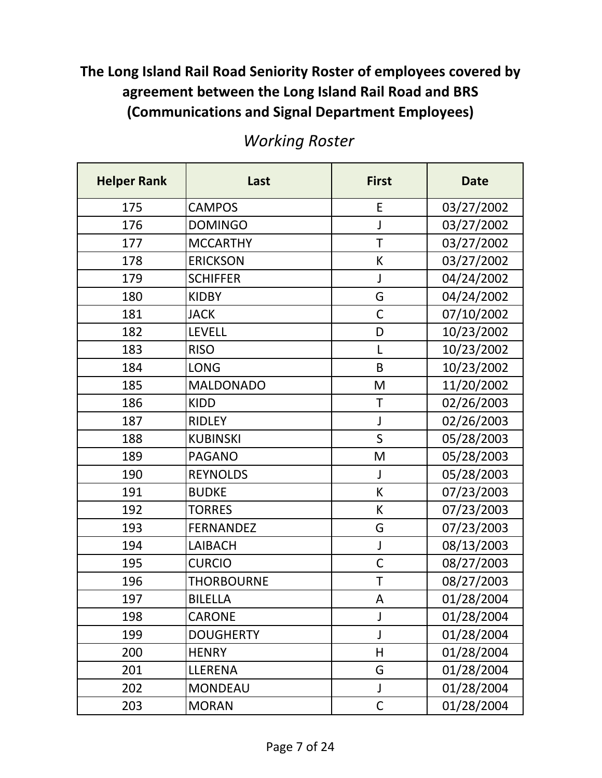| <b>Helper Rank</b> | Last              | <b>First</b> | <b>Date</b> |
|--------------------|-------------------|--------------|-------------|
| 175                | <b>CAMPOS</b>     | E            | 03/27/2002  |
| 176                | <b>DOMINGO</b>    | J            | 03/27/2002  |
| 177                | <b>MCCARTHY</b>   | $\mathsf T$  | 03/27/2002  |
| 178                | <b>ERICKSON</b>   | К            | 03/27/2002  |
| 179                | <b>SCHIFFER</b>   | J            | 04/24/2002  |
| 180                | <b>KIDBY</b>      | G            | 04/24/2002  |
| 181                | <b>JACK</b>       | $\mathsf C$  | 07/10/2002  |
| 182                | <b>LEVELL</b>     | D            | 10/23/2002  |
| 183                | <b>RISO</b>       | L            | 10/23/2002  |
| 184                | <b>LONG</b>       | B            | 10/23/2002  |
| 185                | <b>MALDONADO</b>  | M            | 11/20/2002  |
| 186                | <b>KIDD</b>       | $\mathsf T$  | 02/26/2003  |
| 187                | <b>RIDLEY</b>     | J            | 02/26/2003  |
| 188                | <b>KUBINSKI</b>   | $\mathsf S$  | 05/28/2003  |
| 189                | <b>PAGANO</b>     | M            | 05/28/2003  |
| 190                | <b>REYNOLDS</b>   | J            | 05/28/2003  |
| 191                | <b>BUDKE</b>      | К            | 07/23/2003  |
| 192                | <b>TORRES</b>     | К            | 07/23/2003  |
| 193                | <b>FERNANDEZ</b>  | G            | 07/23/2003  |
| 194                | <b>LAIBACH</b>    | J            | 08/13/2003  |
| 195                | <b>CURCIO</b>     | $\mathsf C$  | 08/27/2003  |
| 196                | <b>THORBOURNE</b> | $\mathsf T$  | 08/27/2003  |
| 197                | <b>BILELLA</b>    | A            | 01/28/2004  |
| 198                | <b>CARONE</b>     | J            | 01/28/2004  |
| 199                | <b>DOUGHERTY</b>  | J            | 01/28/2004  |
| 200                | <b>HENRY</b>      | Н            | 01/28/2004  |
| 201                | LLERENA           | G            | 01/28/2004  |
| 202                | <b>MONDEAU</b>    | J            | 01/28/2004  |
| 203                | <b>MORAN</b>      | $\mathsf C$  | 01/28/2004  |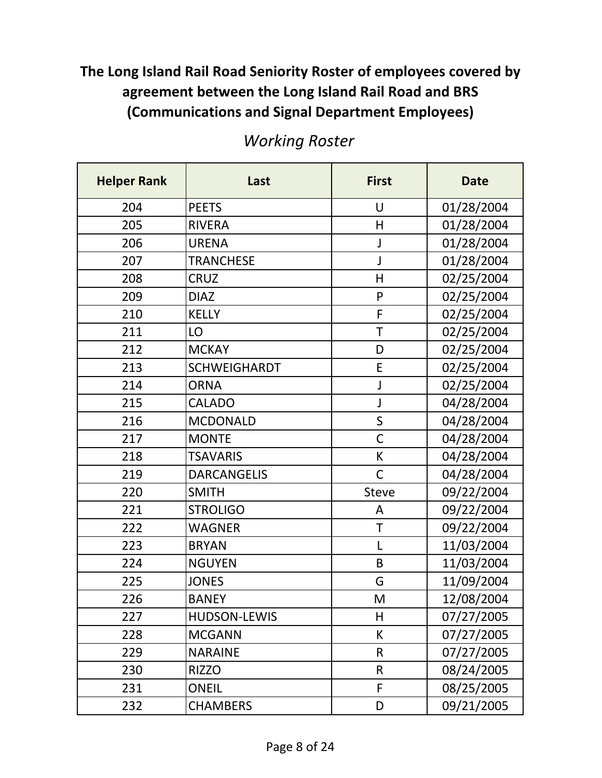| <b>Helper Rank</b> | Last                | <b>First</b> | <b>Date</b> |
|--------------------|---------------------|--------------|-------------|
| 204                | <b>PEETS</b>        | U            | 01/28/2004  |
| 205                | <b>RIVERA</b>       | Η            | 01/28/2004  |
| 206                | <b>URENA</b>        | J            | 01/28/2004  |
| 207                | <b>TRANCHESE</b>    | J            | 01/28/2004  |
| 208                | <b>CRUZ</b>         | H            | 02/25/2004  |
| 209                | <b>DIAZ</b>         | P            | 02/25/2004  |
| 210                | <b>KELLY</b>        | F            | 02/25/2004  |
| 211                | LO                  | $\mathsf T$  | 02/25/2004  |
| 212                | <b>MCKAY</b>        | D            | 02/25/2004  |
| 213                | <b>SCHWEIGHARDT</b> | E            | 02/25/2004  |
| 214                | <b>ORNA</b>         | J            | 02/25/2004  |
| 215                | <b>CALADO</b>       | J            | 04/28/2004  |
| 216                | <b>MCDONALD</b>     | $\mathsf S$  | 04/28/2004  |
| 217                | <b>MONTE</b>        | $\mathsf{C}$ | 04/28/2004  |
| 218                | <b>TSAVARIS</b>     | К            | 04/28/2004  |
| 219                | <b>DARCANGELIS</b>  | $\mathsf{C}$ | 04/28/2004  |
| 220                | <b>SMITH</b>        | <b>Steve</b> | 09/22/2004  |
| 221                | <b>STROLIGO</b>     | Α            | 09/22/2004  |
| 222                | <b>WAGNER</b>       | T            | 09/22/2004  |
| 223                | <b>BRYAN</b>        | L            | 11/03/2004  |
| 224                | <b>NGUYEN</b>       | B            | 11/03/2004  |
| 225                | <b>JONES</b>        | G            | 11/09/2004  |
| 226                | <b>BANEY</b>        | M            | 12/08/2004  |
| 227                | <b>HUDSON-LEWIS</b> | Η            | 07/27/2005  |
| 228                | <b>MCGANN</b>       | К            | 07/27/2005  |
| 229                | <b>NARAINE</b>      | $\mathsf{R}$ | 07/27/2005  |
| 230                | <b>RIZZO</b>        | $\mathsf R$  | 08/24/2005  |
| 231                | <b>ONEIL</b>        | F            | 08/25/2005  |
| 232                | <b>CHAMBERS</b>     | D            | 09/21/2005  |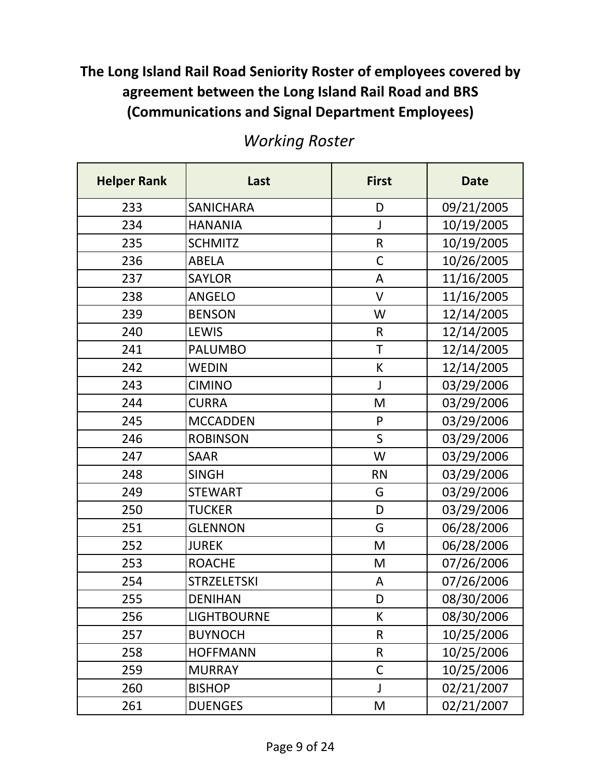| <b>Helper Rank</b> | Last               | <b>First</b> | <b>Date</b> |
|--------------------|--------------------|--------------|-------------|
| 233                | <b>SANICHARA</b>   | D            | 09/21/2005  |
| 234                | <b>HANANIA</b>     | J            | 10/19/2005  |
| 235                | <b>SCHMITZ</b>     | $\mathsf R$  | 10/19/2005  |
| 236                | <b>ABELA</b>       | $\mathsf C$  | 10/26/2005  |
| 237                | <b>SAYLOR</b>      | A            | 11/16/2005  |
| 238                | <b>ANGELO</b>      | V            | 11/16/2005  |
| 239                | <b>BENSON</b>      | W            | 12/14/2005  |
| 240                | LEWIS              | $\mathsf{R}$ | 12/14/2005  |
| 241                | <b>PALUMBO</b>     | T            | 12/14/2005  |
| 242                | <b>WEDIN</b>       | К            | 12/14/2005  |
| 243                | <b>CIMINO</b>      | J            | 03/29/2006  |
| 244                | <b>CURRA</b>       | M            | 03/29/2006  |
| 245                | <b>MCCADDEN</b>    | P            | 03/29/2006  |
| 246                | <b>ROBINSON</b>    | $\mathsf{S}$ | 03/29/2006  |
| 247                | <b>SAAR</b>        | W            | 03/29/2006  |
| 248                | <b>SINGH</b>       | <b>RN</b>    | 03/29/2006  |
| 249                | <b>STEWART</b>     | G            | 03/29/2006  |
| 250                | <b>TUCKER</b>      | D            | 03/29/2006  |
| 251                | <b>GLENNON</b>     | G            | 06/28/2006  |
| 252                | <b>JUREK</b>       | M            | 06/28/2006  |
| 253                | <b>ROACHE</b>      | M            | 07/26/2006  |
| 254                | <b>STRZELETSKI</b> | A            | 07/26/2006  |
| 255                | <b>DENIHAN</b>     | D            | 08/30/2006  |
| 256                | <b>LIGHTBOURNE</b> | К            | 08/30/2006  |
| 257                | <b>BUYNOCH</b>     | $\mathsf{R}$ | 10/25/2006  |
| 258                | <b>HOFFMANN</b>    | $\mathsf R$  | 10/25/2006  |
| 259                | <b>MURRAY</b>      | $\mathsf{C}$ | 10/25/2006  |
| 260                | <b>BISHOP</b>      | J            | 02/21/2007  |
| 261                | <b>DUENGES</b>     | M            | 02/21/2007  |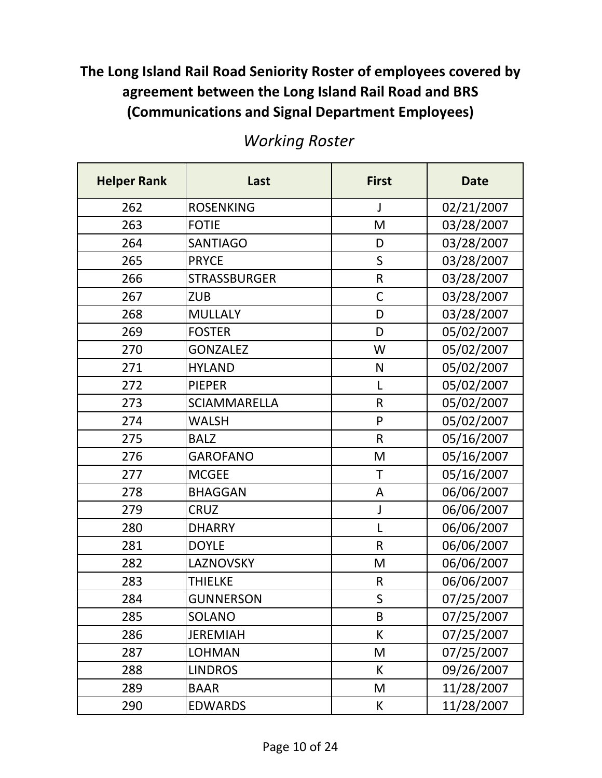| <b>Helper Rank</b> | Last                | <b>First</b> | <b>Date</b> |
|--------------------|---------------------|--------------|-------------|
| 262                | <b>ROSENKING</b>    | J            | 02/21/2007  |
| 263                | <b>FOTIE</b>        | M            | 03/28/2007  |
| 264                | <b>SANTIAGO</b>     | D            | 03/28/2007  |
| 265                | <b>PRYCE</b>        | S            | 03/28/2007  |
| 266                | <b>STRASSBURGER</b> | $\mathsf R$  | 03/28/2007  |
| 267                | <b>ZUB</b>          | C            | 03/28/2007  |
| 268                | <b>MULLALY</b>      | D            | 03/28/2007  |
| 269                | <b>FOSTER</b>       | D            | 05/02/2007  |
| 270                | <b>GONZALEZ</b>     | W            | 05/02/2007  |
| 271                | <b>HYLAND</b>       | N            | 05/02/2007  |
| 272                | <b>PIEPER</b>       | L            | 05/02/2007  |
| 273                | <b>SCIAMMARELLA</b> | $\mathsf{R}$ | 05/02/2007  |
| 274                | <b>WALSH</b>        | P            | 05/02/2007  |
| 275                | <b>BALZ</b>         | $\mathsf{R}$ | 05/16/2007  |
| 276                | <b>GAROFANO</b>     | M            | 05/16/2007  |
| 277                | <b>MCGEE</b>        | T            | 05/16/2007  |
| 278                | <b>BHAGGAN</b>      | A            | 06/06/2007  |
| 279                | <b>CRUZ</b>         | J            | 06/06/2007  |
| 280                | <b>DHARRY</b>       | L            | 06/06/2007  |
| 281                | <b>DOYLE</b>        | $\mathsf{R}$ | 06/06/2007  |
| 282                | LAZNOVSKY           | M            | 06/06/2007  |
| 283                | <b>THIELKE</b>      | R            | 06/06/2007  |
| 284                | <b>GUNNERSON</b>    | S            | 07/25/2007  |
| 285                | SOLANO              | B            | 07/25/2007  |
| 286                | <b>JEREMIAH</b>     | К            | 07/25/2007  |
| 287                | <b>LOHMAN</b>       | M            | 07/25/2007  |
| 288                | <b>LINDROS</b>      | К            | 09/26/2007  |
| 289                | <b>BAAR</b>         | M            | 11/28/2007  |
| 290                | <b>EDWARDS</b>      | К            | 11/28/2007  |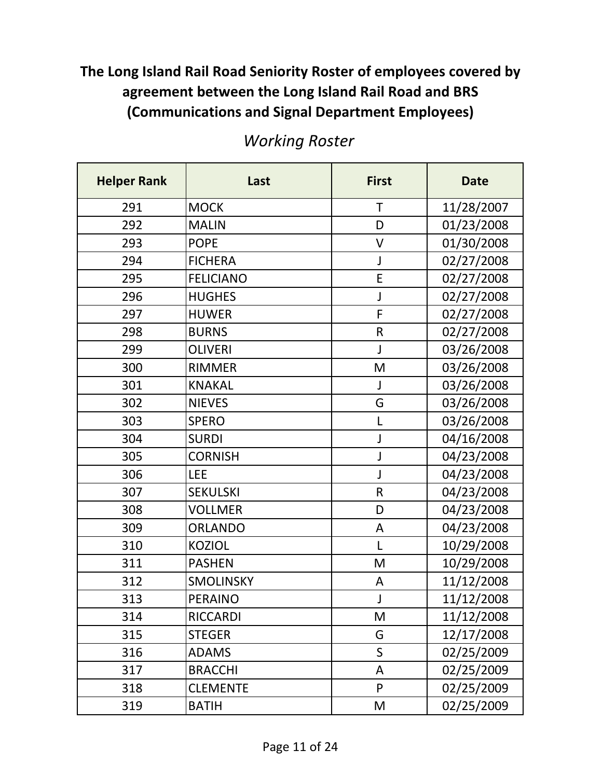| <b>Helper Rank</b> | Last             | <b>First</b> | <b>Date</b> |
|--------------------|------------------|--------------|-------------|
| 291                | <b>MOCK</b>      | T            | 11/28/2007  |
| 292                | <b>MALIN</b>     | D            | 01/23/2008  |
| 293                | <b>POPE</b>      | $\vee$       | 01/30/2008  |
| 294                | <b>FICHERA</b>   | J            | 02/27/2008  |
| 295                | <b>FELICIANO</b> | E            | 02/27/2008  |
| 296                | <b>HUGHES</b>    | J            | 02/27/2008  |
| 297                | <b>HUWER</b>     | F            | 02/27/2008  |
| 298                | <b>BURNS</b>     | $\mathsf{R}$ | 02/27/2008  |
| 299                | <b>OLIVERI</b>   | J            | 03/26/2008  |
| 300                | <b>RIMMER</b>    | M            | 03/26/2008  |
| 301                | <b>KNAKAL</b>    | J            | 03/26/2008  |
| 302                | <b>NIEVES</b>    | G            | 03/26/2008  |
| 303                | <b>SPERO</b>     | L            | 03/26/2008  |
| 304                | <b>SURDI</b>     | J            | 04/16/2008  |
| 305                | <b>CORNISH</b>   | J            | 04/23/2008  |
| 306                | <b>LEE</b>       | J            | 04/23/2008  |
| 307                | <b>SEKULSKI</b>  | $\mathsf R$  | 04/23/2008  |
| 308                | <b>VOLLMER</b>   | D            | 04/23/2008  |
| 309                | <b>ORLANDO</b>   | A            | 04/23/2008  |
| 310                | <b>KOZIOL</b>    | L            | 10/29/2008  |
| 311                | <b>PASHEN</b>    | M            | 10/29/2008  |
| 312                | <b>SMOLINSKY</b> | A            | 11/12/2008  |
| 313                | <b>PERAINO</b>   | J            | 11/12/2008  |
| 314                | <b>RICCARDI</b>  | M            | 11/12/2008  |
| 315                | <b>STEGER</b>    | G            | 12/17/2008  |
| 316                | <b>ADAMS</b>     | $\mathsf S$  | 02/25/2009  |
| 317                | <b>BRACCHI</b>   | A            | 02/25/2009  |
| 318                | <b>CLEMENTE</b>  | P            | 02/25/2009  |
| 319                | <b>BATIH</b>     | M            | 02/25/2009  |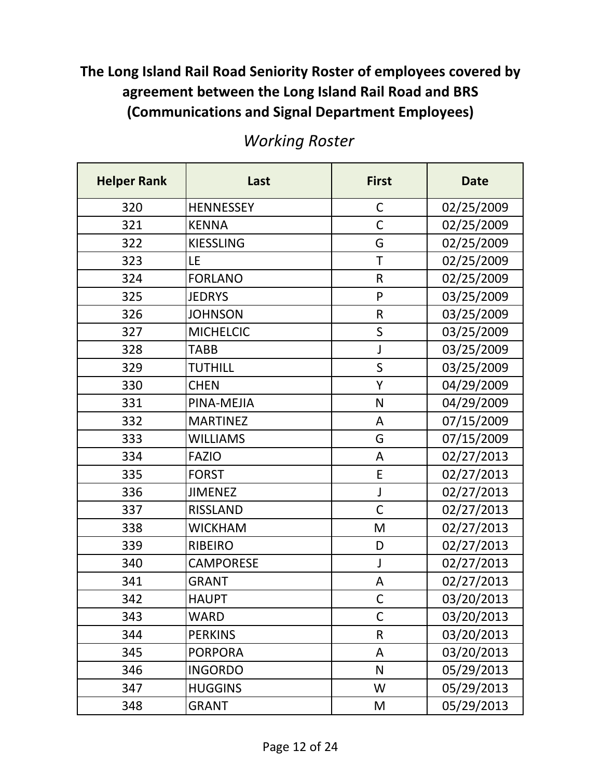| <b>Helper Rank</b> | Last             | <b>First</b> | <b>Date</b> |
|--------------------|------------------|--------------|-------------|
| 320                | <b>HENNESSEY</b> | $\mathsf C$  | 02/25/2009  |
| 321                | <b>KENNA</b>     | C            | 02/25/2009  |
| 322                | <b>KIESSLING</b> | G            | 02/25/2009  |
| 323                | LE               | T            | 02/25/2009  |
| 324                | <b>FORLANO</b>   | $\mathsf R$  | 02/25/2009  |
| 325                | <b>JEDRYS</b>    | P            | 03/25/2009  |
| 326                | <b>JOHNSON</b>   | $\mathsf R$  | 03/25/2009  |
| 327                | <b>MICHELCIC</b> | S            | 03/25/2009  |
| 328                | <b>TABB</b>      | J            | 03/25/2009  |
| 329                | <b>TUTHILL</b>   | $\mathsf S$  | 03/25/2009  |
| 330                | <b>CHEN</b>      | Y            | 04/29/2009  |
| 331                | PINA-MEJIA       | N            | 04/29/2009  |
| 332                | <b>MARTINEZ</b>  | A            | 07/15/2009  |
| 333                | <b>WILLIAMS</b>  | G            | 07/15/2009  |
| 334                | <b>FAZIO</b>     | A            | 02/27/2013  |
| 335                | <b>FORST</b>     | E            | 02/27/2013  |
| 336                | <b>JIMENEZ</b>   | $\mathsf J$  | 02/27/2013  |
| 337                | <b>RISSLAND</b>  | $\mathsf C$  | 02/27/2013  |
| 338                | <b>WICKHAM</b>   | M            | 02/27/2013  |
| 339                | <b>RIBEIRO</b>   | D            | 02/27/2013  |
| 340                | <b>CAMPORESE</b> | J            | 02/27/2013  |
| 341                | <b>GRANT</b>     | A            | 02/27/2013  |
| 342                | <b>HAUPT</b>     | $\mathsf{C}$ | 03/20/2013  |
| 343                | <b>WARD</b>      | C            | 03/20/2013  |
| 344                | <b>PERKINS</b>   | R            | 03/20/2013  |
| 345                | <b>PORPORA</b>   | A            | 03/20/2013  |
| 346                | <b>INGORDO</b>   | $\mathsf{N}$ | 05/29/2013  |
| 347                | <b>HUGGINS</b>   | W            | 05/29/2013  |
| 348                | <b>GRANT</b>     | M            | 05/29/2013  |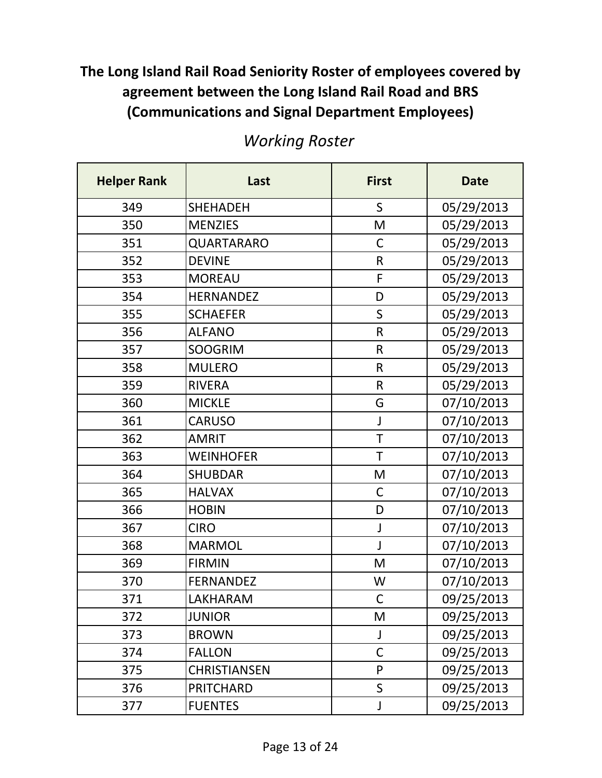| <b>Helper Rank</b> | Last                | <b>First</b> | <b>Date</b> |
|--------------------|---------------------|--------------|-------------|
| 349                | <b>SHEHADEH</b>     | $\mathsf S$  | 05/29/2013  |
| 350                | <b>MENZIES</b>      | M            | 05/29/2013  |
| 351                | QUARTARARO          | $\mathsf C$  | 05/29/2013  |
| 352                | <b>DEVINE</b>       | $\mathsf{R}$ | 05/29/2013  |
| 353                | <b>MOREAU</b>       | F            | 05/29/2013  |
| 354                | <b>HERNANDEZ</b>    | D            | 05/29/2013  |
| 355                | <b>SCHAEFER</b>     | $\mathsf{S}$ | 05/29/2013  |
| 356                | <b>ALFANO</b>       | $\mathsf{R}$ | 05/29/2013  |
| 357                | <b>SOOGRIM</b>      | $\mathsf{R}$ | 05/29/2013  |
| 358                | <b>MULERO</b>       | $\mathsf{R}$ | 05/29/2013  |
| 359                | <b>RIVERA</b>       | $\mathsf{R}$ | 05/29/2013  |
| 360                | <b>MICKLE</b>       | G            | 07/10/2013  |
| 361                | <b>CARUSO</b>       | J            | 07/10/2013  |
| 362                | <b>AMRIT</b>        | T            | 07/10/2013  |
| 363                | <b>WEINHOFER</b>    | T            | 07/10/2013  |
| 364                | <b>SHUBDAR</b>      | M            | 07/10/2013  |
| 365                | <b>HALVAX</b>       | $\mathsf C$  | 07/10/2013  |
| 366                | <b>HOBIN</b>        | D            | 07/10/2013  |
| 367                | <b>CIRO</b>         | J            | 07/10/2013  |
| 368                | <b>MARMOL</b>       | J            | 07/10/2013  |
| 369                | <b>FIRMIN</b>       | M            | 07/10/2013  |
| 370                | <b>FERNANDEZ</b>    | W            | 07/10/2013  |
| 371                | <b>LAKHARAM</b>     | $\mathsf C$  | 09/25/2013  |
| 372                | <b>JUNIOR</b>       | M            | 09/25/2013  |
| 373                | <b>BROWN</b>        | J            | 09/25/2013  |
| 374                | <b>FALLON</b>       | $\mathsf C$  | 09/25/2013  |
| 375                | <b>CHRISTIANSEN</b> | P            | 09/25/2013  |
| 376                | <b>PRITCHARD</b>    | $\sf S$      | 09/25/2013  |
| 377                | <b>FUENTES</b>      | J            | 09/25/2013  |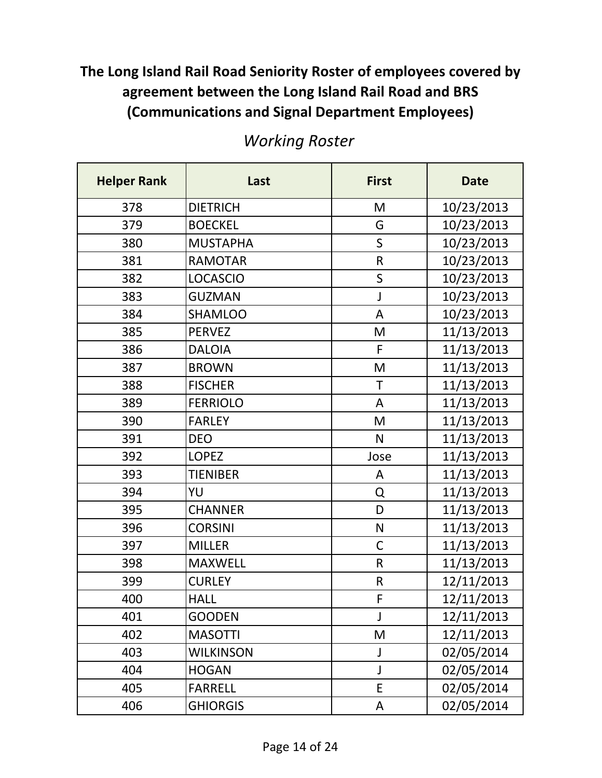| <b>Helper Rank</b> | Last             | <b>First</b> | <b>Date</b> |
|--------------------|------------------|--------------|-------------|
| 378                | <b>DIETRICH</b>  | M            | 10/23/2013  |
| 379                | <b>BOECKEL</b>   | G            | 10/23/2013  |
| 380                | <b>MUSTAPHA</b>  | $\mathsf{S}$ | 10/23/2013  |
| 381                | <b>RAMOTAR</b>   | $\mathsf{R}$ | 10/23/2013  |
| 382                | <b>LOCASCIO</b>  | $\mathsf{S}$ | 10/23/2013  |
| 383                | <b>GUZMAN</b>    | J            | 10/23/2013  |
| 384                | <b>SHAMLOO</b>   | A            | 10/23/2013  |
| 385                | <b>PERVEZ</b>    | M            | 11/13/2013  |
| 386                | <b>DALOIA</b>    | F            | 11/13/2013  |
| 387                | <b>BROWN</b>     | M            | 11/13/2013  |
| 388                | <b>FISCHER</b>   | $\mathsf T$  | 11/13/2013  |
| 389                | <b>FERRIOLO</b>  | A            | 11/13/2013  |
| 390                | <b>FARLEY</b>    | M            | 11/13/2013  |
| 391                | <b>DEO</b>       | N            | 11/13/2013  |
| 392                | <b>LOPEZ</b>     | Jose         | 11/13/2013  |
| 393                | <b>TIENIBER</b>  | A            | 11/13/2013  |
| 394                | YU               | Q            | 11/13/2013  |
| 395                | <b>CHANNER</b>   | D            | 11/13/2013  |
| 396                | <b>CORSINI</b>   | $\mathsf{N}$ | 11/13/2013  |
| 397                | <b>MILLER</b>    | $\mathsf{C}$ | 11/13/2013  |
| 398                | <b>MAXWELL</b>   | $\mathsf R$  | 11/13/2013  |
| 399                | <b>CURLEY</b>    | $\mathsf{R}$ | 12/11/2013  |
| 400                | <b>HALL</b>      | F            | 12/11/2013  |
| 401                | <b>GOODEN</b>    | J            | 12/11/2013  |
| 402                | <b>MASOTTI</b>   | M            | 12/11/2013  |
| 403                | <b>WILKINSON</b> | J            | 02/05/2014  |
| 404                | <b>HOGAN</b>     | J            | 02/05/2014  |
| 405                | <b>FARRELL</b>   | E            | 02/05/2014  |
| 406                | <b>GHIORGIS</b>  | A            | 02/05/2014  |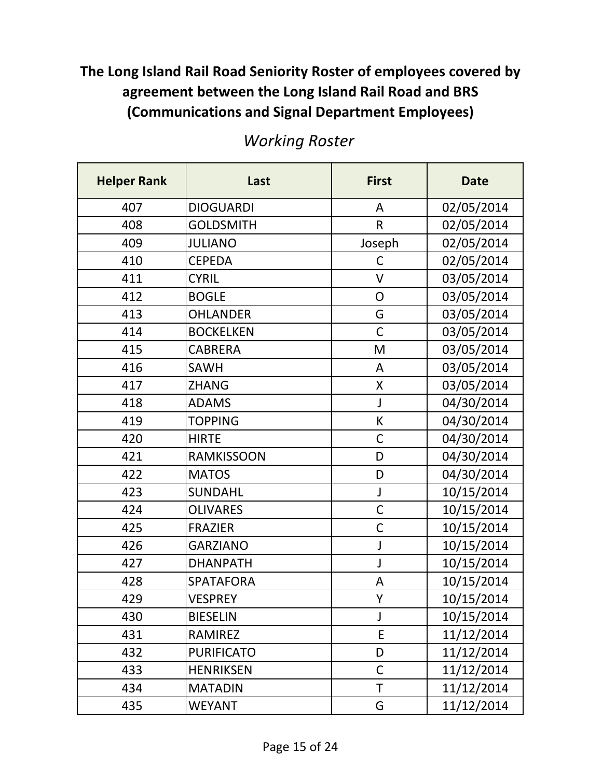| <b>Helper Rank</b> | Last              | <b>First</b> | <b>Date</b> |
|--------------------|-------------------|--------------|-------------|
| 407                | <b>DIOGUARDI</b>  | A            | 02/05/2014  |
| 408                | <b>GOLDSMITH</b>  | $\mathsf{R}$ | 02/05/2014  |
| 409                | <b>JULIANO</b>    | Joseph       | 02/05/2014  |
| 410                | <b>CEPEDA</b>     | $\mathsf C$  | 02/05/2014  |
| 411                | <b>CYRIL</b>      | $\vee$       | 03/05/2014  |
| 412                | <b>BOGLE</b>      | O            | 03/05/2014  |
| 413                | <b>OHLANDER</b>   | G            | 03/05/2014  |
| 414                | <b>BOCKELKEN</b>  | $\mathsf{C}$ | 03/05/2014  |
| 415                | <b>CABRERA</b>    | M            | 03/05/2014  |
| 416                | <b>SAWH</b>       | A            | 03/05/2014  |
| 417                | <b>ZHANG</b>      | X            | 03/05/2014  |
| 418                | <b>ADAMS</b>      | J            | 04/30/2014  |
| 419                | <b>TOPPING</b>    | К            | 04/30/2014  |
| 420                | <b>HIRTE</b>      | $\mathsf{C}$ | 04/30/2014  |
| 421                | <b>RAMKISSOON</b> | D            | 04/30/2014  |
| 422                | <b>MATOS</b>      | D            | 04/30/2014  |
| 423                | <b>SUNDAHL</b>    | J            | 10/15/2014  |
| 424                | <b>OLIVARES</b>   | $\mathsf C$  | 10/15/2014  |
| 425                | <b>FRAZIER</b>    | $\mathsf C$  | 10/15/2014  |
| 426                | <b>GARZIANO</b>   | J            | 10/15/2014  |
| 427                | <b>DHANPATH</b>   | J            | 10/15/2014  |
| 428                | <b>SPATAFORA</b>  | A            | 10/15/2014  |
| 429                | <b>VESPREY</b>    | Υ            | 10/15/2014  |
| 430                | <b>BIESELIN</b>   | J            | 10/15/2014  |
| 431                | <b>RAMIREZ</b>    | E            | 11/12/2014  |
| 432                | <b>PURIFICATO</b> | D            | 11/12/2014  |
| 433                | <b>HENRIKSEN</b>  | $\mathsf C$  | 11/12/2014  |
| 434                | <b>MATADIN</b>    | T            | 11/12/2014  |
| 435                | <b>WEYANT</b>     | G            | 11/12/2014  |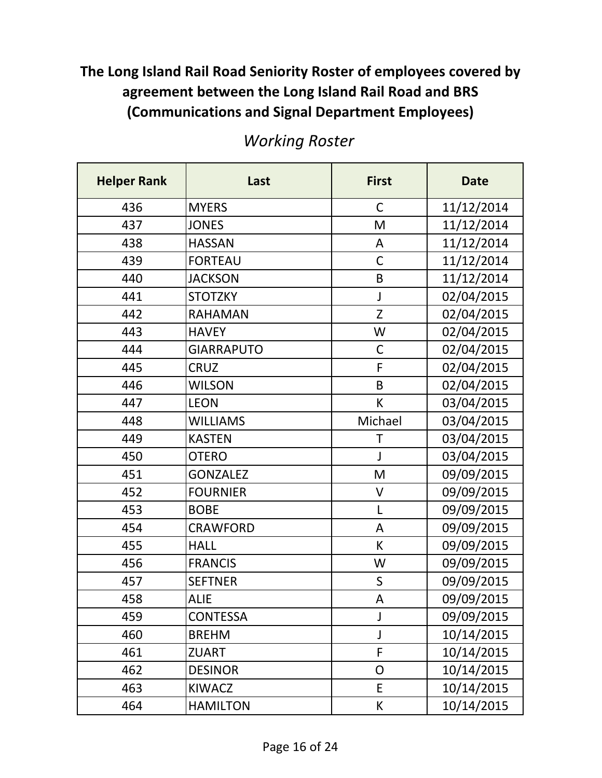| <b>Helper Rank</b> | Last              | <b>First</b> | <b>Date</b> |
|--------------------|-------------------|--------------|-------------|
| 436                | <b>MYERS</b>      | $\mathsf{C}$ | 11/12/2014  |
| 437                | <b>JONES</b>      | M            | 11/12/2014  |
| 438                | <b>HASSAN</b>     | A            | 11/12/2014  |
| 439                | <b>FORTEAU</b>    | $\mathsf{C}$ | 11/12/2014  |
| 440                | <b>JACKSON</b>    | B            | 11/12/2014  |
| 441                | <b>STOTZKY</b>    | J            | 02/04/2015  |
| 442                | <b>RAHAMAN</b>    | Z            | 02/04/2015  |
| 443                | <b>HAVEY</b>      | W            | 02/04/2015  |
| 444                | <b>GIARRAPUTO</b> | $\mathsf C$  | 02/04/2015  |
| 445                | <b>CRUZ</b>       | F            | 02/04/2015  |
| 446                | <b>WILSON</b>     | B            | 02/04/2015  |
| 447                | <b>LEON</b>       | К            | 03/04/2015  |
| 448                | <b>WILLIAMS</b>   | Michael      | 03/04/2015  |
| 449                | <b>KASTEN</b>     | $\mathsf T$  | 03/04/2015  |
| 450                | <b>OTERO</b>      | J            | 03/04/2015  |
| 451                | <b>GONZALEZ</b>   | M            | 09/09/2015  |
| 452                | <b>FOURNIER</b>   | V            | 09/09/2015  |
| 453                | <b>BOBE</b>       | L            | 09/09/2015  |
| 454                | <b>CRAWFORD</b>   | A            | 09/09/2015  |
| 455                | <b>HALL</b>       | К            | 09/09/2015  |
| 456                | <b>FRANCIS</b>    | W            | 09/09/2015  |
| 457                | <b>SEFTNER</b>    | S            | 09/09/2015  |
| 458                | <b>ALIE</b>       | A            | 09/09/2015  |
| 459                | <b>CONTESSA</b>   | J            | 09/09/2015  |
| 460                | <b>BREHM</b>      | J            | 10/14/2015  |
| 461                | <b>ZUART</b>      | F            | 10/14/2015  |
| 462                | <b>DESINOR</b>    | $\mathsf{O}$ | 10/14/2015  |
| 463                | <b>KIWACZ</b>     | E            | 10/14/2015  |
| 464                | <b>HAMILTON</b>   | К            | 10/14/2015  |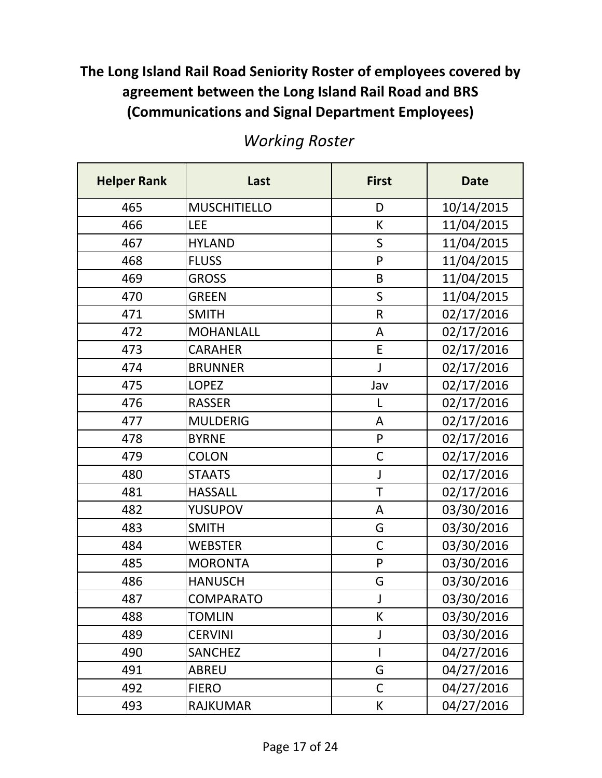| <b>Helper Rank</b> | Last                | <b>First</b> | <b>Date</b> |
|--------------------|---------------------|--------------|-------------|
| 465                | <b>MUSCHITIELLO</b> | D            | 10/14/2015  |
| 466                | LEE                 | К            | 11/04/2015  |
| 467                | <b>HYLAND</b>       | $\mathsf S$  | 11/04/2015  |
| 468                | <b>FLUSS</b>        | P            | 11/04/2015  |
| 469                | <b>GROSS</b>        | B            | 11/04/2015  |
| 470                | <b>GREEN</b>        | S            | 11/04/2015  |
| 471                | <b>SMITH</b>        | $\mathsf R$  | 02/17/2016  |
| 472                | <b>MOHANLALL</b>    | A            | 02/17/2016  |
| 473                | <b>CARAHER</b>      | E            | 02/17/2016  |
| 474                | <b>BRUNNER</b>      | J            | 02/17/2016  |
| 475                | <b>LOPEZ</b>        | Jav          | 02/17/2016  |
| 476                | <b>RASSER</b>       | L            | 02/17/2016  |
| 477                | <b>MULDERIG</b>     | A            | 02/17/2016  |
| 478                | <b>BYRNE</b>        | ${\sf P}$    | 02/17/2016  |
| 479                | <b>COLON</b>        | $\mathsf C$  | 02/17/2016  |
| 480                | <b>STAATS</b>       | J            | 02/17/2016  |
| 481                | <b>HASSALL</b>      | T            | 02/17/2016  |
| 482                | <b>YUSUPOV</b>      | A            | 03/30/2016  |
| 483                | <b>SMITH</b>        | G            | 03/30/2016  |
| 484                | <b>WEBSTER</b>      | $\mathsf{C}$ | 03/30/2016  |
| 485                | <b>MORONTA</b>      | P            | 03/30/2016  |
| 486                | <b>HANUSCH</b>      | G            | 03/30/2016  |
| 487                | <b>COMPARATO</b>    | J            | 03/30/2016  |
| 488                | <b>TOMLIN</b>       | К            | 03/30/2016  |
| 489                | <b>CERVINI</b>      | J            | 03/30/2016  |
| 490                | <b>SANCHEZ</b>      |              | 04/27/2016  |
| 491                | ABREU               | G            | 04/27/2016  |
| 492                | <b>FIERO</b>        | $\mathsf{C}$ | 04/27/2016  |
| 493                | <b>RAJKUMAR</b>     | К            | 04/27/2016  |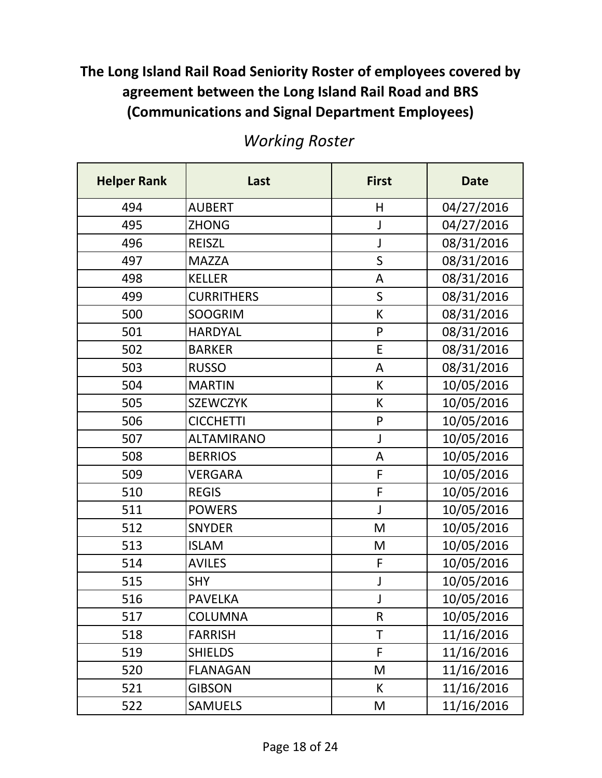| <b>Helper Rank</b> | Last              | <b>First</b> | <b>Date</b> |
|--------------------|-------------------|--------------|-------------|
| 494                | <b>AUBERT</b>     | Η            | 04/27/2016  |
| 495                | <b>ZHONG</b>      | J            | 04/27/2016  |
| 496                | <b>REISZL</b>     | J            | 08/31/2016  |
| 497                | <b>MAZZA</b>      | $\mathsf{S}$ | 08/31/2016  |
| 498                | <b>KELLER</b>     | $\mathsf A$  | 08/31/2016  |
| 499                | <b>CURRITHERS</b> | S            | 08/31/2016  |
| 500                | <b>SOOGRIM</b>    | К            | 08/31/2016  |
| 501                | <b>HARDYAL</b>    | P            | 08/31/2016  |
| 502                | <b>BARKER</b>     | E            | 08/31/2016  |
| 503                | <b>RUSSO</b>      | A            | 08/31/2016  |
| 504                | <b>MARTIN</b>     | К            | 10/05/2016  |
| 505                | <b>SZEWCZYK</b>   | К            | 10/05/2016  |
| 506                | <b>CICCHETTI</b>  | $\mathsf{P}$ | 10/05/2016  |
| 507                | <b>ALTAMIRANO</b> | J            | 10/05/2016  |
| 508                | <b>BERRIOS</b>    | A            | 10/05/2016  |
| 509                | <b>VERGARA</b>    | $\mathsf{F}$ | 10/05/2016  |
| 510                | <b>REGIS</b>      | $\mathsf F$  | 10/05/2016  |
| 511                | <b>POWERS</b>     | J            | 10/05/2016  |
| 512                | <b>SNYDER</b>     | M            | 10/05/2016  |
| 513                | <b>ISLAM</b>      | M            | 10/05/2016  |
| 514                | <b>AVILES</b>     | F            | 10/05/2016  |
| 515                | <b>SHY</b>        | J            | 10/05/2016  |
| 516                | <b>PAVELKA</b>    | J            | 10/05/2016  |
| 517                | <b>COLUMNA</b>    | $\mathsf R$  | 10/05/2016  |
| 518                | <b>FARRISH</b>    | T            | 11/16/2016  |
| 519                | <b>SHIELDS</b>    | F            | 11/16/2016  |
| 520                | <b>FLANAGAN</b>   | M            | 11/16/2016  |
| 521                | <b>GIBSON</b>     | К            | 11/16/2016  |
| 522                | <b>SAMUELS</b>    | M            | 11/16/2016  |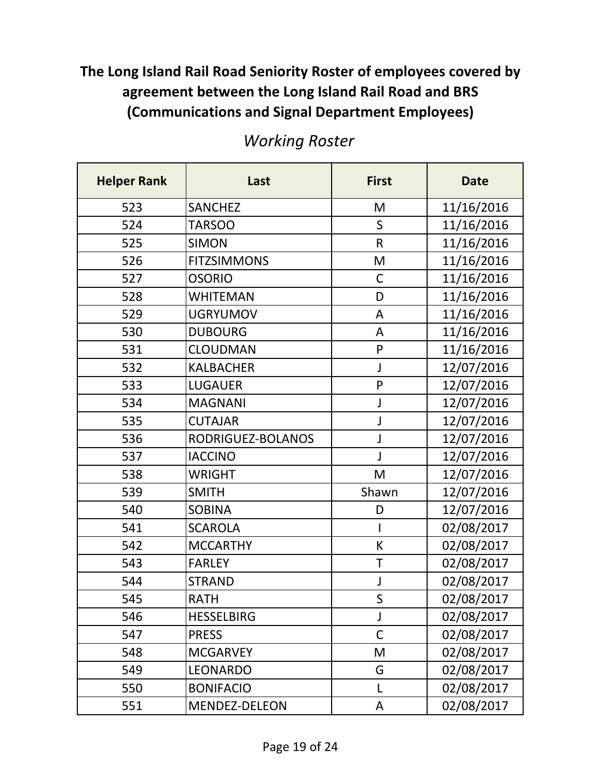| <b>Helper Rank</b> | Last               | <b>First</b> | <b>Date</b> |
|--------------------|--------------------|--------------|-------------|
| 523                | <b>SANCHEZ</b>     | M            | 11/16/2016  |
| 524                | <b>TARSOO</b>      | S            | 11/16/2016  |
| 525                | <b>SIMON</b>       | $\mathsf{R}$ | 11/16/2016  |
| 526                | <b>FITZSIMMONS</b> | M            | 11/16/2016  |
| 527                | <b>OSORIO</b>      | $\mathsf C$  | 11/16/2016  |
| 528                | <b>WHITEMAN</b>    | D            | 11/16/2016  |
| 529                | <b>UGRYUMOV</b>    | A            | 11/16/2016  |
| 530                | <b>DUBOURG</b>     | A            | 11/16/2016  |
| 531                | <b>CLOUDMAN</b>    | P            | 11/16/2016  |
| 532                | <b>KALBACHER</b>   | J            | 12/07/2016  |
| 533                | <b>LUGAUER</b>     | P            | 12/07/2016  |
| 534                | <b>MAGNANI</b>     | J            | 12/07/2016  |
| 535                | <b>CUTAJAR</b>     | J            | 12/07/2016  |
| 536                | RODRIGUEZ-BOLANOS  | J            | 12/07/2016  |
| 537                | <b>IACCINO</b>     | J            | 12/07/2016  |
| 538                | <b>WRIGHT</b>      | M            | 12/07/2016  |
| 539                | <b>SMITH</b>       | Shawn        | 12/07/2016  |
| 540                | <b>SOBINA</b>      | D            | 12/07/2016  |
| 541                | <b>SCAROLA</b>     |              | 02/08/2017  |
| 542                | <b>MCCARTHY</b>    | К            | 02/08/2017  |
| 543                | <b>FARLEY</b>      | $\mathsf T$  | 02/08/2017  |
| 544                | <b>STRAND</b>      | J            | 02/08/2017  |
| 545                | <b>RATH</b>        | S            | 02/08/2017  |
| 546                | <b>HESSELBIRG</b>  | J            | 02/08/2017  |
| 547                | <b>PRESS</b>       | $\mathsf C$  | 02/08/2017  |
| 548                | <b>MCGARVEY</b>    | M            | 02/08/2017  |
| 549                | <b>LEONARDO</b>    | G            | 02/08/2017  |
| 550                | <b>BONIFACIO</b>   | L            | 02/08/2017  |
| 551                | MENDEZ-DELEON      | A            | 02/08/2017  |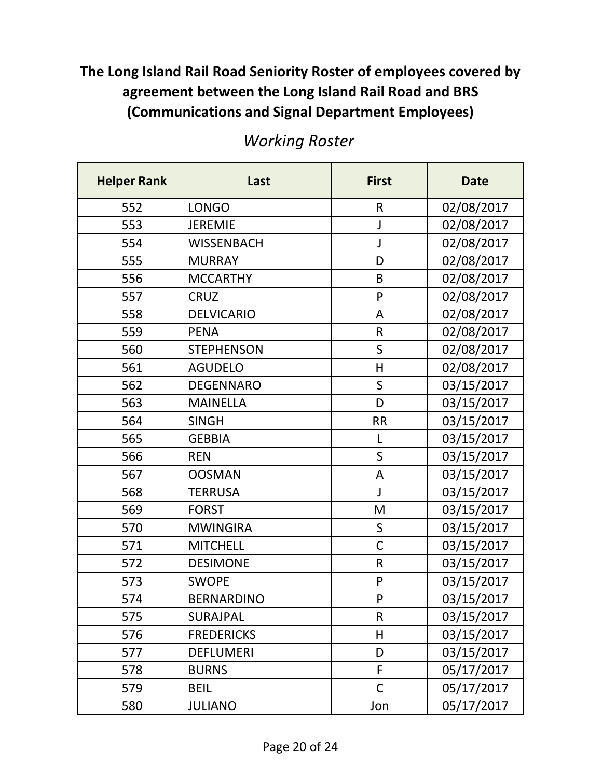| <b>Helper Rank</b> | Last              | <b>First</b> | <b>Date</b> |
|--------------------|-------------------|--------------|-------------|
| 552                | <b>LONGO</b>      | $\mathsf R$  | 02/08/2017  |
| 553                | <b>JEREMIE</b>    | J            | 02/08/2017  |
| 554                | <b>WISSENBACH</b> | $\mathsf{J}$ | 02/08/2017  |
| 555                | <b>MURRAY</b>     | D            | 02/08/2017  |
| 556                | <b>MCCARTHY</b>   | $\mathsf B$  | 02/08/2017  |
| 557                | <b>CRUZ</b>       | P            | 02/08/2017  |
| 558                | <b>DELVICARIO</b> | A            | 02/08/2017  |
| 559                | <b>PENA</b>       | $\mathsf R$  | 02/08/2017  |
| 560                | <b>STEPHENSON</b> | S            | 02/08/2017  |
| 561                | <b>AGUDELO</b>    | Н            | 02/08/2017  |
| 562                | <b>DEGENNARO</b>  | $\mathsf{S}$ | 03/15/2017  |
| 563                | <b>MAINELLA</b>   | D            | 03/15/2017  |
| 564                | <b>SINGH</b>      | <b>RR</b>    | 03/15/2017  |
| 565                | <b>GEBBIA</b>     | L            | 03/15/2017  |
| 566                | <b>REN</b>        | S            | 03/15/2017  |
| 567                | <b>OOSMAN</b>     | A            | 03/15/2017  |
| 568                | <b>TERRUSA</b>    | J            | 03/15/2017  |
| 569                | <b>FORST</b>      | M            | 03/15/2017  |
| 570                | <b>MWINGIRA</b>   | S            | 03/15/2017  |
| 571                | <b>MITCHELL</b>   | $\mathsf{C}$ | 03/15/2017  |
| 572                | <b>DESIMONE</b>   | $\mathsf R$  | 03/15/2017  |
| 573                | <b>SWOPE</b>      | P            | 03/15/2017  |
| 574                | <b>BERNARDINO</b> | $\mathsf{P}$ | 03/15/2017  |
| 575                | SURAJPAL          | $\mathsf R$  | 03/15/2017  |
| 576                | <b>FREDERICKS</b> | $\mathsf{H}$ | 03/15/2017  |
| 577                | <b>DEFLUMERI</b>  | D            | 03/15/2017  |
| 578                | <b>BURNS</b>      | F            | 05/17/2017  |
| 579                | <b>BEIL</b>       | $\mathsf{C}$ | 05/17/2017  |
| 580                | <b>JULIANO</b>    | Jon          | 05/17/2017  |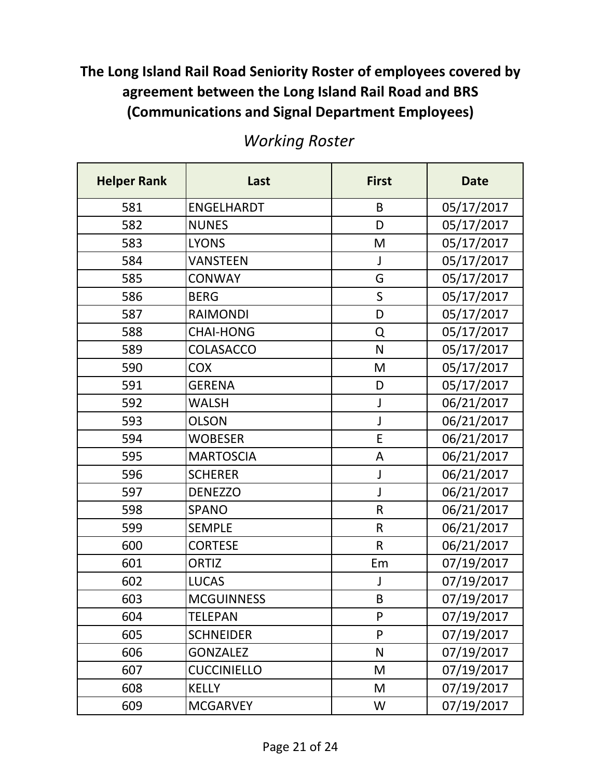| <b>Helper Rank</b> | Last               | <b>First</b> | <b>Date</b> |
|--------------------|--------------------|--------------|-------------|
| 581                | <b>ENGELHARDT</b>  | B            | 05/17/2017  |
| 582                | <b>NUNES</b>       | D            | 05/17/2017  |
| 583                | <b>LYONS</b>       | M            | 05/17/2017  |
| 584                | <b>VANSTEEN</b>    | J            | 05/17/2017  |
| 585                | <b>CONWAY</b>      | G            | 05/17/2017  |
| 586                | <b>BERG</b>        | $\mathsf S$  | 05/17/2017  |
| 587                | <b>RAIMONDI</b>    | D            | 05/17/2017  |
| 588                | <b>CHAI-HONG</b>   | Q            | 05/17/2017  |
| 589                | <b>COLASACCO</b>   | N            | 05/17/2017  |
| 590                | <b>COX</b>         | M            | 05/17/2017  |
| 591                | <b>GERENA</b>      | D            | 05/17/2017  |
| 592                | <b>WALSH</b>       | J            | 06/21/2017  |
| 593                | <b>OLSON</b>       | J            | 06/21/2017  |
| 594                | <b>WOBESER</b>     | E            | 06/21/2017  |
| 595                | <b>MARTOSCIA</b>   | A            | 06/21/2017  |
| 596                | <b>SCHERER</b>     | J            | 06/21/2017  |
| 597                | <b>DENEZZO</b>     | J            | 06/21/2017  |
| 598                | <b>SPANO</b>       | $\mathsf{R}$ | 06/21/2017  |
| 599                | <b>SEMPLE</b>      | $\mathsf{R}$ | 06/21/2017  |
| 600                | <b>CORTESE</b>     | $\mathsf R$  | 06/21/2017  |
| 601                | <b>ORTIZ</b>       | Em           | 07/19/2017  |
| 602                | <b>LUCAS</b>       | J            | 07/19/2017  |
| 603                | <b>MCGUINNESS</b>  | B            | 07/19/2017  |
| 604                | <b>TELEPAN</b>     | P            | 07/19/2017  |
| 605                | <b>SCHNEIDER</b>   | P            | 07/19/2017  |
| 606                | <b>GONZALEZ</b>    | N            | 07/19/2017  |
| 607                | <b>CUCCINIELLO</b> | M            | 07/19/2017  |
| 608                | <b>KELLY</b>       | M            | 07/19/2017  |
| 609                | <b>MCGARVEY</b>    | W            | 07/19/2017  |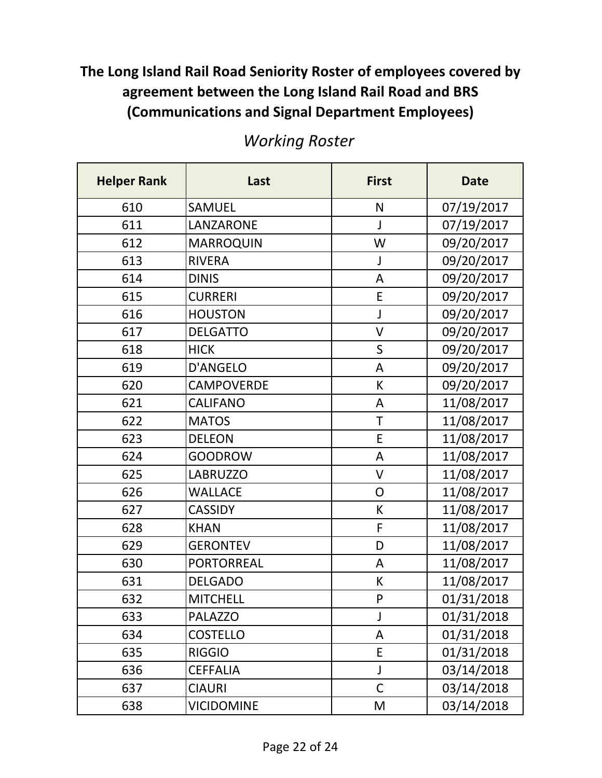| <b>Helper Rank</b> | Last              | <b>First</b>   | <b>Date</b> |
|--------------------|-------------------|----------------|-------------|
| 610                | <b>SAMUEL</b>     | N              | 07/19/2017  |
| 611                | LANZARONE         | J              | 07/19/2017  |
| 612                | <b>MARROQUIN</b>  | W              | 09/20/2017  |
| 613                | <b>RIVERA</b>     | J              | 09/20/2017  |
| 614                | <b>DINIS</b>      | A              | 09/20/2017  |
| 615                | <b>CURRERI</b>    | E              | 09/20/2017  |
| 616                | <b>HOUSTON</b>    | J              | 09/20/2017  |
| 617                | <b>DELGATTO</b>   | $\vee$         | 09/20/2017  |
| 618                | <b>HICK</b>       | $\mathsf S$    | 09/20/2017  |
| 619                | <b>D'ANGELO</b>   | A              | 09/20/2017  |
| 620                | <b>CAMPOVERDE</b> | К              | 09/20/2017  |
| 621                | <b>CALIFANO</b>   | A              | 11/08/2017  |
| 622                | <b>MATOS</b>      | T              | 11/08/2017  |
| 623                | <b>DELEON</b>     | E              | 11/08/2017  |
| 624                | <b>GOODROW</b>    | A              | 11/08/2017  |
| 625                | <b>LABRUZZO</b>   | V              | 11/08/2017  |
| 626                | <b>WALLACE</b>    | $\overline{O}$ | 11/08/2017  |
| 627                | <b>CASSIDY</b>    | К              | 11/08/2017  |
| 628                | <b>KHAN</b>       | $\mathsf{F}$   | 11/08/2017  |
| 629                | <b>GERONTEV</b>   | D              | 11/08/2017  |
| 630                | <b>PORTORREAL</b> | A              | 11/08/2017  |
| 631                | <b>DELGADO</b>    | К              | 11/08/2017  |
| 632                | <b>MITCHELL</b>   | P              | 01/31/2018  |
| 633                | <b>PALAZZO</b>    | J              | 01/31/2018  |
| 634                | <b>COSTELLO</b>   | A              | 01/31/2018  |
| 635                | <b>RIGGIO</b>     | E              | 01/31/2018  |
| 636                | <b>CEFFALIA</b>   | J              | 03/14/2018  |
| 637                | <b>CIAURI</b>     | $\mathsf C$    | 03/14/2018  |
| 638                | <b>VICIDOMINE</b> | M              | 03/14/2018  |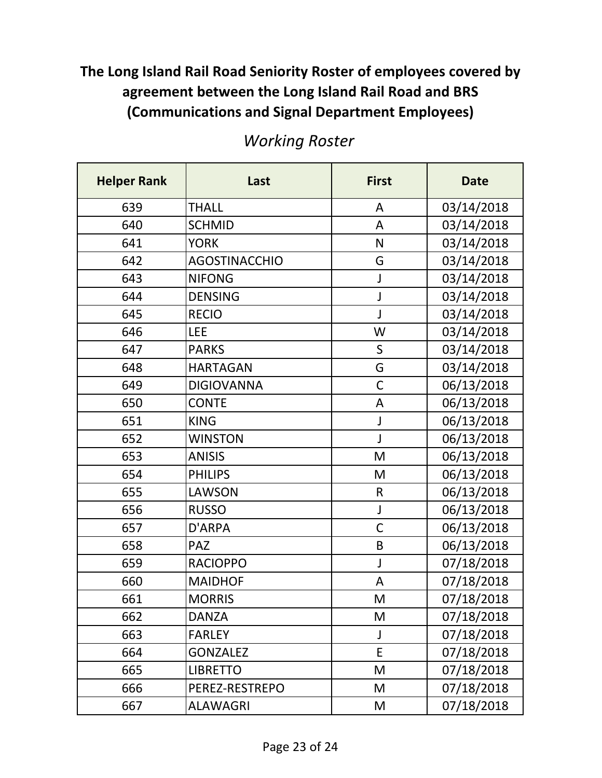| <b>Helper Rank</b> | Last                 | <b>First</b> | <b>Date</b> |
|--------------------|----------------------|--------------|-------------|
| 639                | <b>THALL</b>         | A            | 03/14/2018  |
| 640                | <b>SCHMID</b>        | A            | 03/14/2018  |
| 641                | <b>YORK</b>          | N            | 03/14/2018  |
| 642                | <b>AGOSTINACCHIO</b> | G            | 03/14/2018  |
| 643                | <b>NIFONG</b>        | J            | 03/14/2018  |
| 644                | <b>DENSING</b>       | J            | 03/14/2018  |
| 645                | <b>RECIO</b>         | J            | 03/14/2018  |
| 646                | <b>LEE</b>           | W            | 03/14/2018  |
| 647                | <b>PARKS</b>         | $\mathsf S$  | 03/14/2018  |
| 648                | <b>HARTAGAN</b>      | G            | 03/14/2018  |
| 649                | <b>DIGIOVANNA</b>    | $\mathsf{C}$ | 06/13/2018  |
| 650                | <b>CONTE</b>         | A            | 06/13/2018  |
| 651                | <b>KING</b>          | J            | 06/13/2018  |
| 652                | <b>WINSTON</b>       | J            | 06/13/2018  |
| 653                | <b>ANISIS</b>        | M            | 06/13/2018  |
| 654                | <b>PHILIPS</b>       | M            | 06/13/2018  |
| 655                | <b>LAWSON</b>        | $\mathsf{R}$ | 06/13/2018  |
| 656                | <b>RUSSO</b>         | J            | 06/13/2018  |
| 657                | D'ARPA               | $\mathsf{C}$ | 06/13/2018  |
| 658                | <b>PAZ</b>           | B            | 06/13/2018  |
| 659                | <b>RACIOPPO</b>      | J            | 07/18/2018  |
| 660                | <b>MAIDHOF</b>       | A            | 07/18/2018  |
| 661                | <b>MORRIS</b>        | M            | 07/18/2018  |
| 662                | <b>DANZA</b>         | M            | 07/18/2018  |
| 663                | <b>FARLEY</b>        | J            | 07/18/2018  |
| 664                | <b>GONZALEZ</b>      | E            | 07/18/2018  |
| 665                | <b>LIBRETTO</b>      | M            | 07/18/2018  |
| 666                | PEREZ-RESTREPO       | M            | 07/18/2018  |
| 667                | ALAWAGRI             | M            | 07/18/2018  |